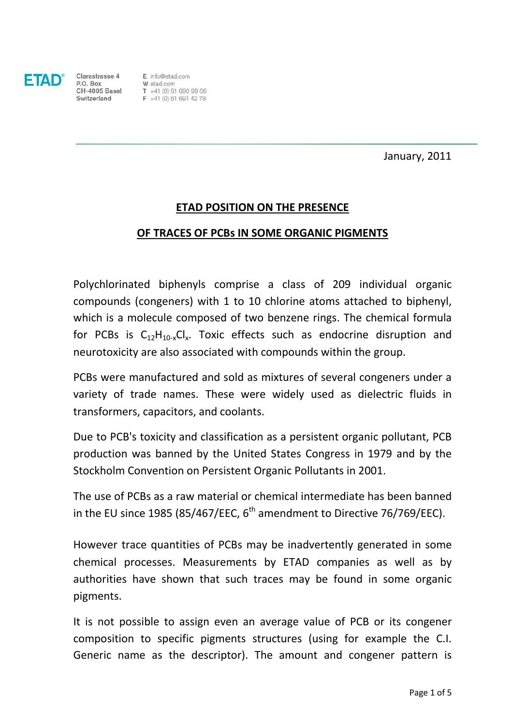

Clarastrasse 4

 $F$  info@etad.com Clarastrasse 4 E into@etad.com<br> **P.O. Box** W etad.com<br> **CH-4005 Basel** T +41 (0) 61 690 99 66<br> **Switzerland** F +41 (0) 61 691 42 78

January, 2011

### **ETAD POSITION ON THE PRESENCE**

#### **OF TRACES OF PCBs IN SOME ORGANIC PIGMENTS**

Polychlorinated biphenyls comprise a class of 209 individual organic compounds (congeners) with 1 to 10 [chlorine](http://en.wikipedia.org/wiki/Chlorine) atoms attached to [biphenyl,](http://en.wikipedia.org/wiki/Biphenyl) which is a molecule composed of two [benzene rings.](http://en.wikipedia.org/wiki/Benzene_ring) The [chemical formula](http://en.wikipedia.org/wiki/Chemical_formula) for PCBs is  $C_{12}H_{10-x}Cl_{x}$ . Toxic effects such as [endocrine disruption](http://en.wikipedia.org/wiki/Endocrine_disruption) and [neurotoxicity](http://en.wikipedia.org/wiki/Neurotoxicity) are also associated with compounds within the group.

PCBs were manufactured and sold as mixtures of several congeners under a variety of trade names. These were widely used as [dielectric](http://en.wikipedia.org/wiki/Dielectric) fluids in [transformers,](http://en.wikipedia.org/wiki/Transformer) [capacitors,](http://en.wikipedia.org/wiki/Capacitor) and [coolants.](http://en.wikipedia.org/wiki/Coolant)

Due to PCB's [toxicity](http://en.wikipedia.org/wiki/Toxicity) and classification as a [persistent organic pollutant,](http://en.wikipedia.org/wiki/Persistent_organic_pollutant) PCB production was banned by the United States Congress in 1979 and by the [Stockholm Convention on Persistent Organic Pollutants](http://en.wikipedia.org/wiki/Stockholm_Convention_on_Persistent_Organic_Pollutants) in 2001.

The use of PCBs as a raw material or chemical intermediate has been banned in the EU since 1985 (85/467/EEC,  $6<sup>th</sup>$  amendment to Directive 76/769/EEC).

However trace quantities of PCBs may be inadvertently generated in some chemical processes. Measurements by ETAD companies as well as by authorities have shown that such traces may be found in some organic pigments.

It is not possible to assign even an average value of PCB or its congener composition to specific pigments structures (using for example the C.I. Generic name as the descriptor). The amount and congener pattern is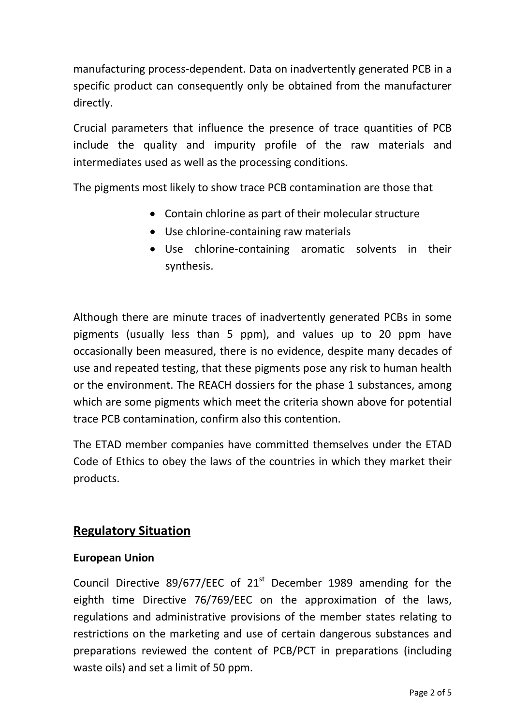manufacturing process-dependent. Data on inadvertently generated PCB in a specific product can consequently only be obtained from the manufacturer directly.

Crucial parameters that influence the presence of trace quantities of PCB include the quality and impurity profile of the raw materials and intermediates used as well as the processing conditions.

The pigments most likely to show trace PCB contamination are those that

- Contain chlorine as part of their molecular structure
- Use chlorine-containing raw materials
- Use chlorine-containing aromatic solvents in their synthesis.

Although there are minute traces of inadvertently generated PCBs in some pigments (usually less than 5 ppm), and values up to 20 ppm have occasionally been measured, there is no evidence, despite many decades of use and repeated testing, that these pigments pose any risk to human health or the environment. The REACH dossiers for the phase 1 substances, among which are some pigments which meet the criteria shown above for potential trace PCB contamination, confirm also this contention.

The ETAD member companies have committed themselves under the ETAD Code of Ethics to obey the laws of the countries in which they market their products.

# **Regulatory Situation**

# **European Union**

Council Directive 89/677/EEC of  $21<sup>st</sup>$  December 1989 amending for the eighth time Directive 76/769/EEC on the approximation of the laws, regulations and administrative provisions of the member states relating to restrictions on the marketing and use of certain dangerous substances and preparations reviewed the content of PCB/PCT in preparations (including waste oils) and set a limit of 50 ppm.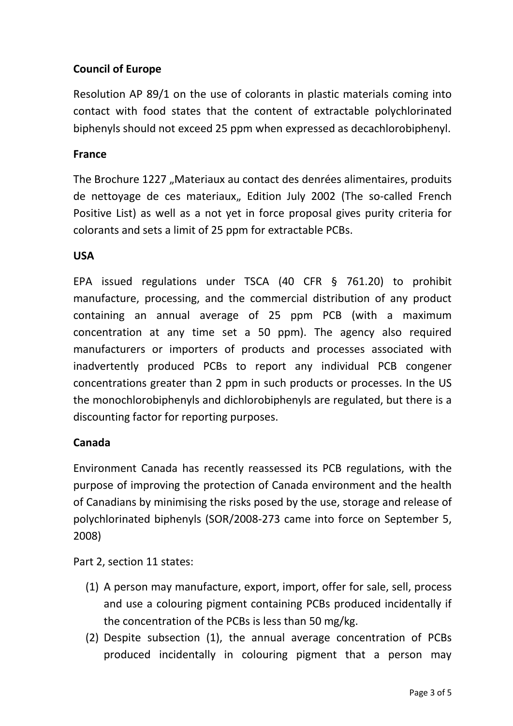# **Council of Europe**

Resolution AP 89/1 on the use of colorants in plastic materials coming into contact with food states that the content of extractable polychlorinated biphenyls should not exceed 25 ppm when expressed as decachlorobiphenyl.

### **France**

The Brochure 1227 "Materiaux au contact des denrées alimentaires, produits de nettoyage de ces materiaux,, Edition July 2002 (The so-called French Positive List) as well as a not yet in force proposal gives purity criteria for colorants and sets a limit of 25 ppm for extractable PCBs.

#### **USA**

EPA issued regulations under TSCA (40 CFR § 761.20) to prohibit manufacture, processing, and the commercial distribution of any product containing an annual average of 25 ppm PCB (with a maximum concentration at any time set a 50 ppm). The agency also required manufacturers or importers of products and processes associated with inadvertently produced PCBs to report any individual PCB congener concentrations greater than 2 ppm in such products or processes. In the US the monochlorobiphenyls and dichlorobiphenyls are regulated, but there is a discounting factor for reporting purposes.

### **Canada**

Environment Canada has recently reassessed its PCB regulations, with the purpose of improving the protection of Canada environment and the health of Canadians by minimising the risks posed by the use, storage and release of polychlorinated biphenyls (SOR/2008-273 came into force on September 5, 2008)

Part 2, section 11 states:

- (1) A person may manufacture, export, import, offer for sale, sell, process and use a colouring pigment containing PCBs produced incidentally if the concentration of the PCBs is less than 50 mg/kg.
- (2) Despite subsection (1), the annual average concentration of PCBs produced incidentally in colouring pigment that a person may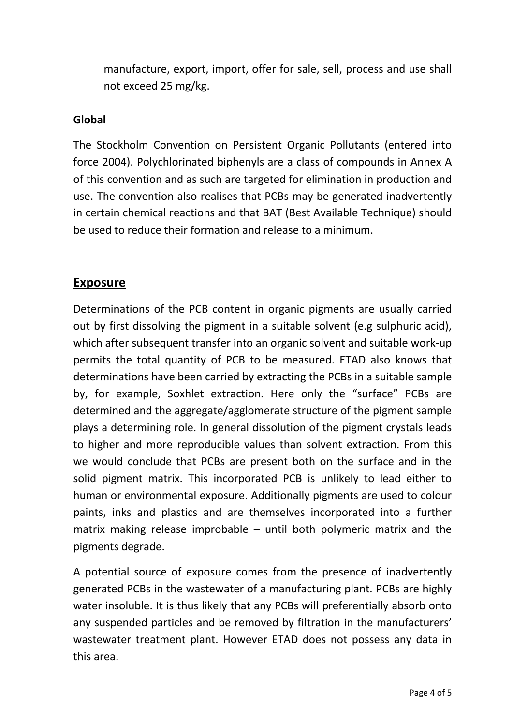manufacture, export, import, offer for sale, sell, process and use shall not exceed 25 mg/kg.

### **Global**

The Stockholm Convention on Persistent Organic Pollutants (entered into force 2004). Polychlorinated biphenyls are a class of compounds in Annex A of this convention and as such are targeted for elimination in production and use. The convention also realises that PCBs may be generated inadvertently in certain chemical reactions and that BAT (Best Available Technique) should be used to reduce their formation and release to a minimum.

# **Exposure**

Determinations of the PCB content in organic pigments are usually carried out by first dissolving the pigment in a suitable solvent (e.g sulphuric acid), which after subsequent transfer into an organic solvent and suitable work-up permits the total quantity of PCB to be measured. ETAD also knows that determinations have been carried by extracting the PCBs in a suitable sample by, for example, Soxhlet extraction. Here only the "surface" PCBs are determined and the aggregate/agglomerate structure of the pigment sample plays a determining role. In general dissolution of the pigment crystals leads to higher and more reproducible values than solvent extraction. From this we would conclude that PCBs are present both on the surface and in the solid pigment matrix. This incorporated PCB is unlikely to lead either to human or environmental exposure. Additionally pigments are used to colour paints, inks and plastics and are themselves incorporated into a further matrix making release improbable – until both polymeric matrix and the pigments degrade.

A potential source of exposure comes from the presence of inadvertently generated PCBs in the wastewater of a manufacturing plant. PCBs are highly water insoluble. It is thus likely that any PCBs will preferentially absorb onto any suspended particles and be removed by filtration in the manufacturers' wastewater treatment plant. However ETAD does not possess any data in this area.